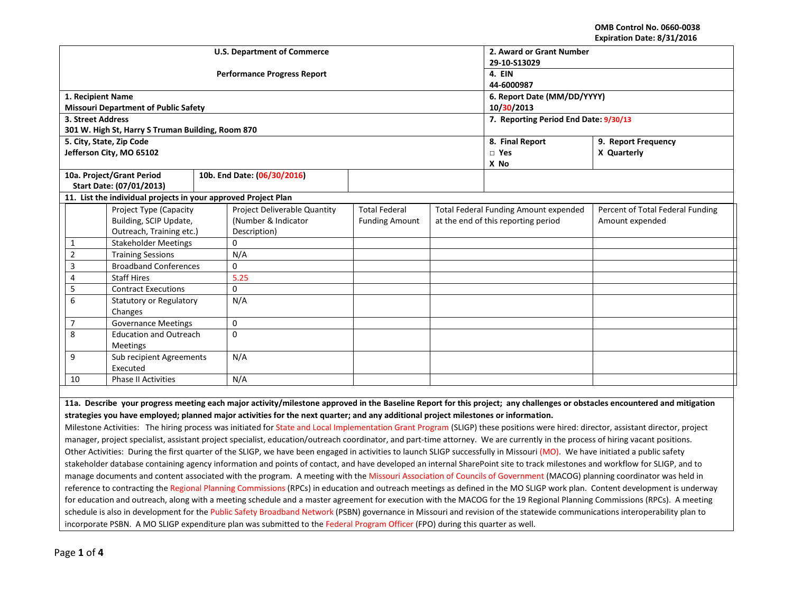**OMB Control No. 0660-0038 Expiration Date: 8/31/2016**

| EXPII AUVII DALE. O/ 31/2010                                                                                                                                                      |                                                    |                                                                |                              |                                    |                                       |                                       |                                     |                 |
|-----------------------------------------------------------------------------------------------------------------------------------------------------------------------------------|----------------------------------------------------|----------------------------------------------------------------|------------------------------|------------------------------------|---------------------------------------|---------------------------------------|-------------------------------------|-----------------|
|                                                                                                                                                                                   |                                                    |                                                                |                              | <b>U.S. Department of Commerce</b> | 2. Award or Grant Number              |                                       |                                     |                 |
|                                                                                                                                                                                   |                                                    |                                                                |                              |                                    | 29-10-S13029                          |                                       |                                     |                 |
|                                                                                                                                                                                   |                                                    |                                                                |                              | <b>Performance Progress Report</b> | 4. EIN                                |                                       |                                     |                 |
|                                                                                                                                                                                   |                                                    |                                                                |                              |                                    | 44-6000987                            |                                       |                                     |                 |
|                                                                                                                                                                                   |                                                    | 1. Recipient Name                                              |                              |                                    | 6. Report Date (MM/DD/YYYY)           |                                       |                                     |                 |
|                                                                                                                                                                                   |                                                    | <b>Missouri Department of Public Safety</b>                    |                              |                                    | 10/30/2013                            |                                       |                                     |                 |
|                                                                                                                                                                                   | 3. Street Address                                  |                                                                |                              |                                    | 7. Reporting Period End Date: 9/30/13 |                                       |                                     |                 |
|                                                                                                                                                                                   |                                                    | 301 W. High St, Harry S Truman Building, Room 870              |                              |                                    |                                       |                                       |                                     |                 |
|                                                                                                                                                                                   |                                                    | 5. City, State, Zip Code                                       |                              |                                    |                                       | 8. Final Report                       | 9. Report Frequency                 |                 |
|                                                                                                                                                                                   |                                                    | Jefferson City, MO 65102                                       |                              |                                    |                                       | $\square$ Yes                         | X Quarterly                         |                 |
|                                                                                                                                                                                   |                                                    |                                                                |                              |                                    |                                       |                                       | X No                                |                 |
|                                                                                                                                                                                   |                                                    | 10a. Project/Grant Period                                      |                              | 10b. End Date: (06/30/2016)        |                                       |                                       |                                     |                 |
|                                                                                                                                                                                   |                                                    | Start Date: (07/01/2013)                                       |                              |                                    |                                       |                                       |                                     |                 |
|                                                                                                                                                                                   |                                                    | 11. List the individual projects in your approved Project Plan |                              |                                    |                                       |                                       |                                     |                 |
|                                                                                                                                                                                   | Project Type (Capacity                             |                                                                | Project Deliverable Quantity | <b>Total Federal</b>               |                                       | Total Federal Funding Amount expended | Percent of Total Federal Funding    |                 |
|                                                                                                                                                                                   | Building, SCIP Update,<br>Outreach, Training etc.) |                                                                |                              | (Number & Indicator                | <b>Funding Amount</b>                 |                                       | at the end of this reporting period | Amount expended |
|                                                                                                                                                                                   |                                                    |                                                                |                              | Description)                       |                                       |                                       |                                     |                 |
| 1                                                                                                                                                                                 |                                                    | <b>Stakeholder Meetings</b>                                    |                              | 0                                  |                                       |                                       |                                     |                 |
| $\overline{2}$                                                                                                                                                                    |                                                    | <b>Training Sessions</b>                                       |                              | N/A                                |                                       |                                       |                                     |                 |
| 3                                                                                                                                                                                 | <b>Broadband Conferences</b>                       |                                                                | 0                            |                                    |                                       |                                       |                                     |                 |
| 4                                                                                                                                                                                 | <b>Staff Hires</b>                                 |                                                                | 5.25                         |                                    |                                       |                                       |                                     |                 |
| 5                                                                                                                                                                                 | <b>Contract Executions</b>                         |                                                                | 0                            |                                    |                                       |                                       |                                     |                 |
| 6                                                                                                                                                                                 | <b>Statutory or Regulatory</b>                     |                                                                | N/A                          |                                    |                                       |                                       |                                     |                 |
| Changes                                                                                                                                                                           |                                                    |                                                                |                              |                                    |                                       |                                       |                                     |                 |
| $\overline{7}$                                                                                                                                                                    | <b>Governance Meetings</b>                         |                                                                | $\mathbf 0$                  |                                    |                                       |                                       |                                     |                 |
| 8<br><b>Education and Outreach</b>                                                                                                                                                |                                                    | 0                                                              |                              |                                    |                                       |                                       |                                     |                 |
| Meetings                                                                                                                                                                          |                                                    |                                                                |                              |                                    |                                       |                                       |                                     |                 |
| 9<br>Sub recipient Agreements                                                                                                                                                     |                                                    | N/A                                                            |                              |                                    |                                       |                                       |                                     |                 |
| Executed                                                                                                                                                                          |                                                    |                                                                |                              |                                    |                                       |                                       |                                     |                 |
| 10<br><b>Phase II Activities</b>                                                                                                                                                  |                                                    | N/A                                                            |                              |                                    |                                       |                                       |                                     |                 |
|                                                                                                                                                                                   |                                                    |                                                                |                              |                                    |                                       |                                       |                                     |                 |
| 11a. Describe your progress meeting each major activity/milestone approved in the Baseline Report for this project; any challenges or obstacles encountered and mitigation        |                                                    |                                                                |                              |                                    |                                       |                                       |                                     |                 |
| strategies you have employed; planned major activities for the next quarter; and any additional project milestones or information.                                                |                                                    |                                                                |                              |                                    |                                       |                                       |                                     |                 |
| Milestone Activities: The hiring process was initiated for State and Local Implementation Grant Program (SLIGP) these positions were hired: director, assistant director, project |                                                    |                                                                |                              |                                    |                                       |                                       |                                     |                 |
| manager, project specialist, assistant project specialist, education/outreach coordinator, and part-time attorney. We are currently in the process of hiring vacant positions.    |                                                    |                                                                |                              |                                    |                                       |                                       |                                     |                 |

Other Activities: During the first quarter of the SLIGP, we have been engaged in activities to launch SLIGP successfully in Missouri (MO). We have initiated a public safety stakeholder database containing agency information and points of contact, and have developed an internal SharePoint site to track milestones and workflow for SLIGP, and to manage documents and content associated with the program. A meeting with the Missouri Association of Councils of Government (MACOG) planning coordinator was held in reference to contracting the Regional Planning Commissions (RPCs) in education and outreach meetings as defined in the MO SLIGP work plan. Content development is underway for education and outreach, along with a meeting schedule and a master agreement for execution with the MACOG for the 19 Regional Planning Commissions (RPCs). A meeting schedule is also in development for the Public Safety Broadband Network (PSBN) governance in Missouri and revision of the statewide communications interoperability plan to incorporate PSBN. A MO SLIGP expenditure plan was submitted to the Federal Program Officer (FPO) during this quarter as well.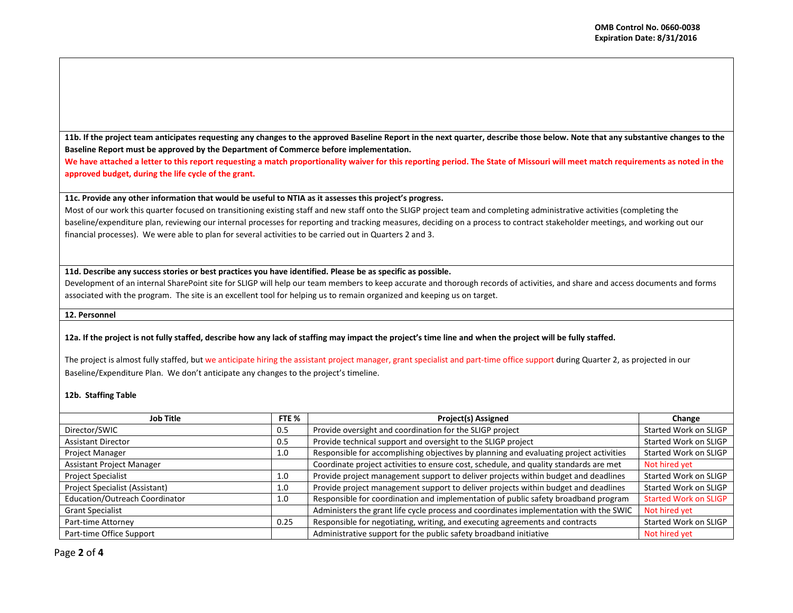**11b. If the project team anticipates requesting any changes to the approved Baseline Report in the next quarter, describe those below. Note that any substantive changes to the Baseline Report must be approved by the Department of Commerce before implementation.**

We have attached a letter to this report requesting a match proportionality waiver for this reporting period. The State of Missouri will meet match requirements as noted in the **approved budget, during the life cycle of the grant.**

## **11c. Provide any other information that would be useful to NTIA as it assesses this project's progress.**

Most of our work this quarter focused on transitioning existing staff and new staff onto the SLIGP project team and completing administrative activities (completing the baseline/expenditure plan, reviewing our internal processes for reporting and tracking measures, deciding on a process to contract stakeholder meetings, and working out our financial processes). We were able to plan for several activities to be carried out in Quarters 2 and 3.

# **11d. Describe any success stories or best practices you have identified. Please be as specific as possible.**

Development of an internal SharePoint site for SLIGP will help our team members to keep accurate and thorough records of activities, and share and access documents and forms associated with the program. The site is an excellent tool for helping us to remain organized and keeping us on target.

#### **12. Personnel**

## **12a. If the project is not fully staffed, describe how any lack of staffing may impact the project's time line and when the project will be fully staffed.**

The project is almost fully staffed, but we anticipate hiring the assistant project manager, grant specialist and part-time office support during Quarter 2, as projected in our Baseline/Expenditure Plan. We don't anticipate any changes to the project's timeline.

## **12b. Staffing Table**

| Job Title                      | FTE % | <b>Project(s) Assigned</b>                                                             | Change                       |
|--------------------------------|-------|----------------------------------------------------------------------------------------|------------------------------|
| Director/SWIC                  |       | Provide oversight and coordination for the SLIGP project                               | Started Work on SLIGP        |
| <b>Assistant Director</b>      |       | Provide technical support and oversight to the SLIGP project                           | Started Work on SLIGP        |
| <b>Project Manager</b>         |       | Responsible for accomplishing objectives by planning and evaluating project activities | Started Work on SLIGP        |
| Assistant Project Manager      |       | Coordinate project activities to ensure cost, schedule, and quality standards are met  | Not hired yet                |
| <b>Project Specialist</b>      |       | Provide project management support to deliver projects within budget and deadlines     | Started Work on SLIGP        |
| Project Specialist (Assistant) |       | Provide project management support to deliver projects within budget and deadlines     | Started Work on SLIGP        |
| Education/Outreach Coordinator |       | Responsible for coordination and implementation of public safety broadband program     | <b>Started Work on SLIGP</b> |
| <b>Grant Specialist</b>        |       | Administers the grant life cycle process and coordinates implementation with the SWIC  | Not hired yet                |
| Part-time Attorney             |       | Responsible for negotiating, writing, and executing agreements and contracts           | Started Work on SLIGP        |
| Part-time Office Support       |       | Administrative support for the public safety broadband initiative                      | Not hired yet                |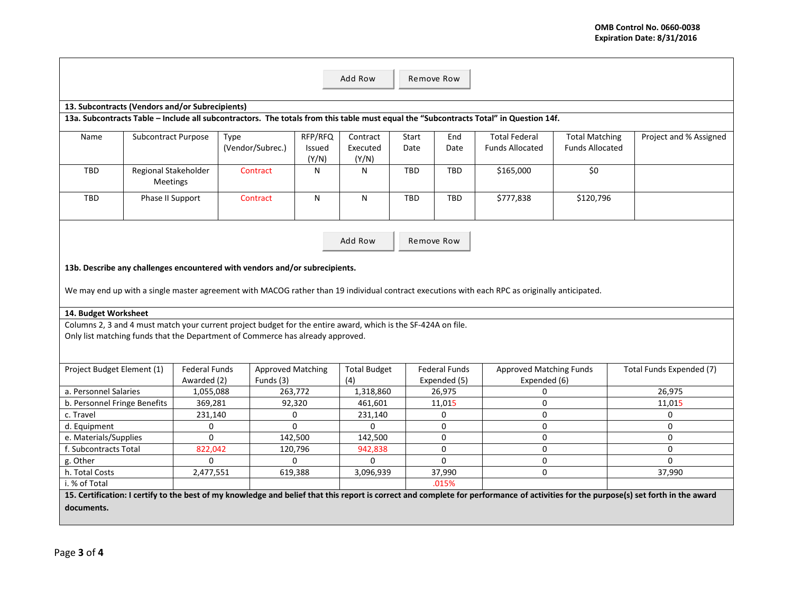|                                                                                                                                                                                      |                                  |                                                                                                               |                          |         | Add Row<br>Remove Row |       |                      |                                                                                                                                       |                        |                          |  |
|--------------------------------------------------------------------------------------------------------------------------------------------------------------------------------------|----------------------------------|---------------------------------------------------------------------------------------------------------------|--------------------------|---------|-----------------------|-------|----------------------|---------------------------------------------------------------------------------------------------------------------------------------|------------------------|--------------------------|--|
|                                                                                                                                                                                      |                                  |                                                                                                               |                          |         |                       |       |                      |                                                                                                                                       |                        |                          |  |
| 13. Subcontracts (Vendors and/or Subrecipients)                                                                                                                                      |                                  |                                                                                                               |                          |         |                       |       |                      |                                                                                                                                       |                        |                          |  |
|                                                                                                                                                                                      |                                  |                                                                                                               |                          |         |                       |       |                      | 13a. Subcontracts Table - Include all subcontractors. The totals from this table must equal the "Subcontracts Total" in Question 14f. |                        |                          |  |
| Name                                                                                                                                                                                 | Subcontract Purpose              | Type                                                                                                          |                          | RFP/RFQ | Contract              | Start | End                  | <b>Total Federal</b>                                                                                                                  | <b>Total Matching</b>  | Project and % Assigned   |  |
|                                                                                                                                                                                      |                                  |                                                                                                               | (Vendor/Subrec.)         | Issued  | Executed              | Date  | Date                 | <b>Funds Allocated</b>                                                                                                                | <b>Funds Allocated</b> |                          |  |
|                                                                                                                                                                                      |                                  |                                                                                                               |                          | (Y/N)   | (Y/N)                 |       |                      |                                                                                                                                       |                        |                          |  |
| TBD                                                                                                                                                                                  | Regional Stakeholder<br>Meetings |                                                                                                               | Contract                 | N       | N                     | TBD   | <b>TBD</b>           | \$165,000                                                                                                                             | \$0\$                  |                          |  |
| TBD                                                                                                                                                                                  | Phase II Support                 |                                                                                                               | Contract                 | N       | N                     | TBD   | TBD                  | \$777,838                                                                                                                             | \$120,796              |                          |  |
| Add Row<br>Remove Row                                                                                                                                                                |                                  |                                                                                                               |                          |         |                       |       |                      |                                                                                                                                       |                        |                          |  |
|                                                                                                                                                                                      |                                  |                                                                                                               |                          |         |                       |       |                      |                                                                                                                                       |                        |                          |  |
|                                                                                                                                                                                      |                                  | 13b. Describe any challenges encountered with vendors and/or subrecipients.                                   |                          |         |                       |       |                      |                                                                                                                                       |                        |                          |  |
|                                                                                                                                                                                      |                                  |                                                                                                               |                          |         |                       |       |                      |                                                                                                                                       |                        |                          |  |
| We may end up with a single master agreement with MACOG rather than 19 individual contract executions with each RPC as originally anticipated.                                       |                                  |                                                                                                               |                          |         |                       |       |                      |                                                                                                                                       |                        |                          |  |
| 14. Budget Worksheet                                                                                                                                                                 |                                  |                                                                                                               |                          |         |                       |       |                      |                                                                                                                                       |                        |                          |  |
|                                                                                                                                                                                      |                                  | Columns 2, 3 and 4 must match your current project budget for the entire award, which is the SF-424A on file. |                          |         |                       |       |                      |                                                                                                                                       |                        |                          |  |
|                                                                                                                                                                                      |                                  | Only list matching funds that the Department of Commerce has already approved.                                |                          |         |                       |       |                      |                                                                                                                                       |                        |                          |  |
|                                                                                                                                                                                      |                                  |                                                                                                               |                          |         |                       |       |                      |                                                                                                                                       |                        |                          |  |
|                                                                                                                                                                                      |                                  |                                                                                                               |                          |         |                       |       |                      |                                                                                                                                       |                        |                          |  |
| Project Budget Element (1)                                                                                                                                                           |                                  | <b>Federal Funds</b>                                                                                          | <b>Approved Matching</b> |         | <b>Total Budget</b>   |       | <b>Federal Funds</b> | <b>Approved Matching Funds</b>                                                                                                        |                        | Total Funds Expended (7) |  |
|                                                                                                                                                                                      |                                  | Awarded (2)                                                                                                   | Funds (3)                |         | (4)                   |       | Expended (5)         | Expended (6)                                                                                                                          |                        |                          |  |
| a. Personnel Salaries                                                                                                                                                                |                                  | 1,055,088                                                                                                     | 263,772                  |         | 1,318,860             |       | 26,975               | 0                                                                                                                                     |                        | 26,975                   |  |
| b. Personnel Fringe Benefits                                                                                                                                                         |                                  | 369,281                                                                                                       | 92,320                   |         | 461,601               |       | 11,015               | $\mathbf 0$                                                                                                                           |                        | 11,015                   |  |
| c. Travel                                                                                                                                                                            |                                  | 231,140                                                                                                       | $\Omega$                 |         | 231,140               |       | $\mathbf 0$          | $\mathbf 0$                                                                                                                           |                        | $\Omega$                 |  |
| d. Equipment                                                                                                                                                                         |                                  | $\mathbf 0$                                                                                                   | $\Omega$                 |         | $\Omega$              |       | $\mathbf{0}$         | $\mathbf 0$                                                                                                                           |                        | $\mathbf 0$              |  |
| e. Materials/Supplies                                                                                                                                                                |                                  | $\Omega$                                                                                                      | 142,500                  |         | 142,500               |       | 0                    | $\mathbf 0$                                                                                                                           |                        | $\mathbf 0$              |  |
| f. Subcontracts Total                                                                                                                                                                |                                  | 822,042                                                                                                       | 120,796                  |         | 942,838               |       | $\mathbf 0$          | $\mathbf 0$                                                                                                                           |                        | $\Omega$                 |  |
| g. Other                                                                                                                                                                             |                                  | $\Omega$                                                                                                      | $\Omega$                 |         | $\Omega$              |       | $\Omega$             | 0                                                                                                                                     |                        | $\Omega$                 |  |
| h. Total Costs                                                                                                                                                                       |                                  | 2,477,551                                                                                                     |                          | 619,388 | 3,096,939             |       | 37,990               | $\mathbf 0$                                                                                                                           |                        | 37,990                   |  |
| i. % of Total                                                                                                                                                                        |                                  |                                                                                                               |                          |         |                       | .015% |                      |                                                                                                                                       |                        |                          |  |
| 15. Certification: I certify to the best of my knowledge and belief that this report is correct and complete for performance of activities for the purpose(s) set forth in the award |                                  |                                                                                                               |                          |         |                       |       |                      |                                                                                                                                       |                        |                          |  |
| documents.                                                                                                                                                                           |                                  |                                                                                                               |                          |         |                       |       |                      |                                                                                                                                       |                        |                          |  |